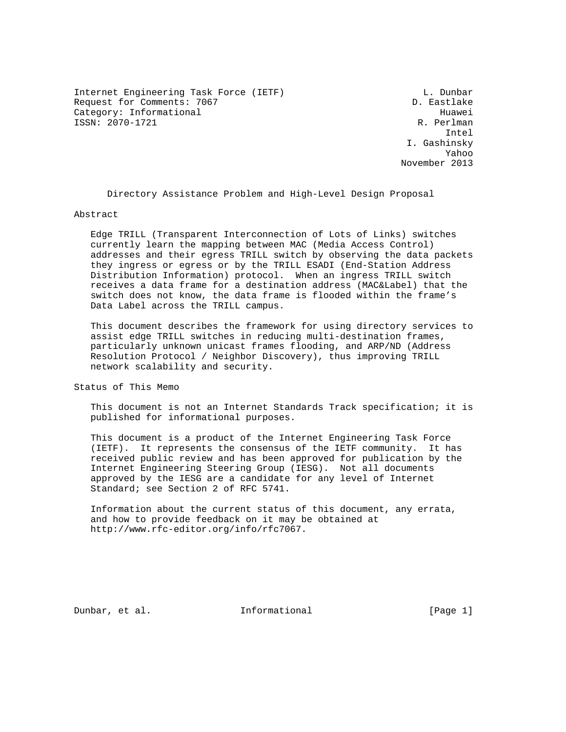Internet Engineering Task Force (IETF) and the contract of the L. Dunbar Request for Comments: 7067 D. Eastlake Category: Informational development of the Huawei ISSN: 2070-1721 R. Perlman

 Intel I. Gashinsky Yahoo November 2013

Directory Assistance Problem and High-Level Design Proposal

Abstract

 Edge TRILL (Transparent Interconnection of Lots of Links) switches currently learn the mapping between MAC (Media Access Control) addresses and their egress TRILL switch by observing the data packets they ingress or egress or by the TRILL ESADI (End-Station Address Distribution Information) protocol. When an ingress TRILL switch receives a data frame for a destination address (MAC&Label) that the switch does not know, the data frame is flooded within the frame's Data Label across the TRILL campus.

 This document describes the framework for using directory services to assist edge TRILL switches in reducing multi-destination frames, particularly unknown unicast frames flooding, and ARP/ND (Address Resolution Protocol / Neighbor Discovery), thus improving TRILL network scalability and security.

Status of This Memo

 This document is not an Internet Standards Track specification; it is published for informational purposes.

 This document is a product of the Internet Engineering Task Force (IETF). It represents the consensus of the IETF community. It has received public review and has been approved for publication by the Internet Engineering Steering Group (IESG). Not all documents approved by the IESG are a candidate for any level of Internet Standard; see Section 2 of RFC 5741.

 Information about the current status of this document, any errata, and how to provide feedback on it may be obtained at http://www.rfc-editor.org/info/rfc7067.

Dunbar, et al. 100 Informational [Page 1]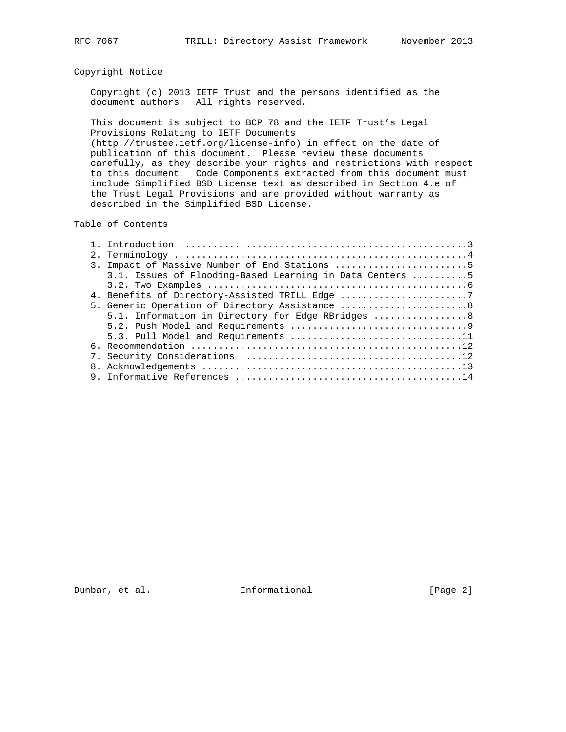# Copyright Notice

 Copyright (c) 2013 IETF Trust and the persons identified as the document authors. All rights reserved.

 This document is subject to BCP 78 and the IETF Trust's Legal Provisions Relating to IETF Documents (http://trustee.ietf.org/license-info) in effect on the date of

 publication of this document. Please review these documents carefully, as they describe your rights and restrictions with respect to this document. Code Components extracted from this document must include Simplified BSD License text as described in Section 4.e of the Trust Legal Provisions and are provided without warranty as described in the Simplified BSD License.

### Table of Contents

|  | 3. Impact of Massive Number of End Stations 5            |
|--|----------------------------------------------------------|
|  | 3.1. Issues of Flooding-Based Learning in Data Centers 5 |
|  |                                                          |
|  | 4. Benefits of Directory-Assisted TRILL Edge 7           |
|  | 5. Generic Operation of Directory Assistance  8          |
|  | 5.1. Information in Directory for Edge RBridges  8       |
|  |                                                          |
|  | 5.3. Pull Model and Requirements 11                      |
|  |                                                          |
|  |                                                          |
|  |                                                          |
|  |                                                          |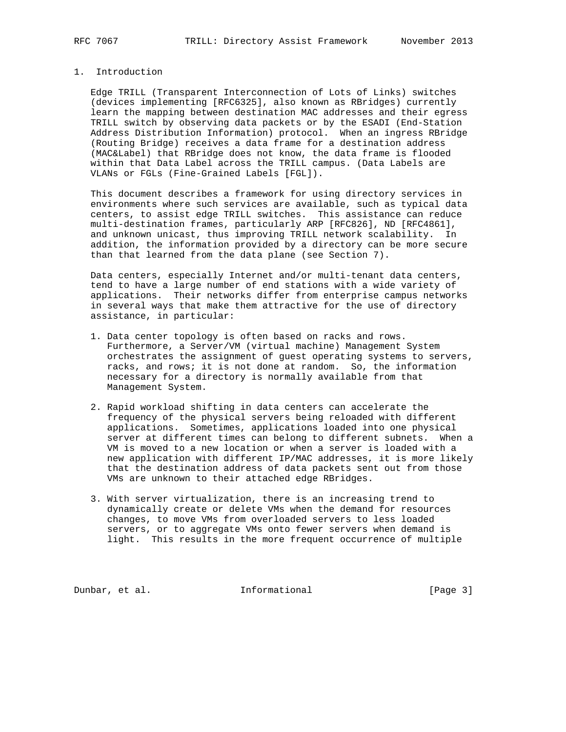### 1. Introduction

 Edge TRILL (Transparent Interconnection of Lots of Links) switches (devices implementing [RFC6325], also known as RBridges) currently learn the mapping between destination MAC addresses and their egress TRILL switch by observing data packets or by the ESADI (End-Station Address Distribution Information) protocol. When an ingress RBridge (Routing Bridge) receives a data frame for a destination address (MAC&Label) that RBridge does not know, the data frame is flooded within that Data Label across the TRILL campus. (Data Labels are VLANs or FGLs (Fine-Grained Labels [FGL]).

 This document describes a framework for using directory services in environments where such services are available, such as typical data centers, to assist edge TRILL switches. This assistance can reduce multi-destination frames, particularly ARP [RFC826], ND [RFC4861], and unknown unicast, thus improving TRILL network scalability. In addition, the information provided by a directory can be more secure than that learned from the data plane (see Section 7).

 Data centers, especially Internet and/or multi-tenant data centers, tend to have a large number of end stations with a wide variety of applications. Their networks differ from enterprise campus networks in several ways that make them attractive for the use of directory assistance, in particular:

- 1. Data center topology is often based on racks and rows. Furthermore, a Server/VM (virtual machine) Management System orchestrates the assignment of guest operating systems to servers, racks, and rows; it is not done at random. So, the information necessary for a directory is normally available from that Management System.
- 2. Rapid workload shifting in data centers can accelerate the frequency of the physical servers being reloaded with different applications. Sometimes, applications loaded into one physical server at different times can belong to different subnets. When a VM is moved to a new location or when a server is loaded with a new application with different IP/MAC addresses, it is more likely that the destination address of data packets sent out from those VMs are unknown to their attached edge RBridges.
- 3. With server virtualization, there is an increasing trend to dynamically create or delete VMs when the demand for resources changes, to move VMs from overloaded servers to less loaded servers, or to aggregate VMs onto fewer servers when demand is light. This results in the more frequent occurrence of multiple

Dunbar, et al. 1nformational [Page 3]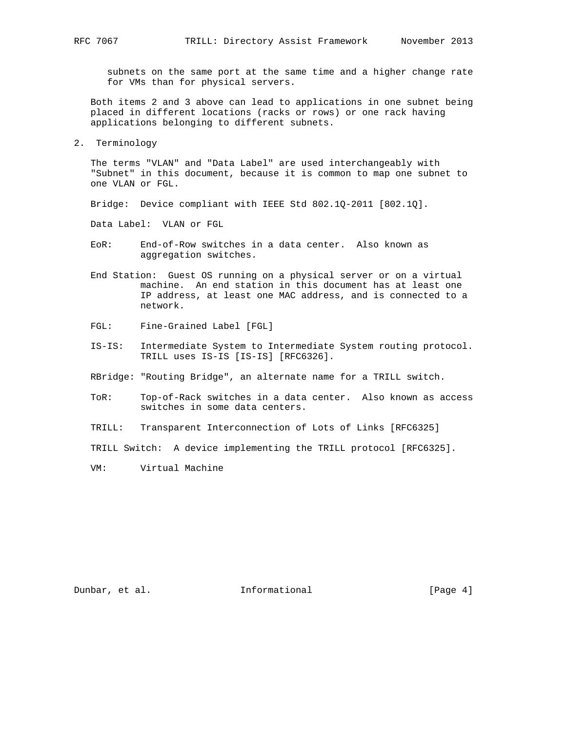subnets on the same port at the same time and a higher change rate for VMs than for physical servers.

 Both items 2 and 3 above can lead to applications in one subnet being placed in different locations (racks or rows) or one rack having applications belonging to different subnets.

2. Terminology

 The terms "VLAN" and "Data Label" are used interchangeably with "Subnet" in this document, because it is common to map one subnet to one VLAN or FGL.

Bridge: Device compliant with IEEE Std 802.1Q-2011 [802.1Q].

Data Label: VLAN or FGL

- EoR: End-of-Row switches in a data center. Also known as aggregation switches.
- End Station: Guest OS running on a physical server or on a virtual machine. An end station in this document has at least one IP address, at least one MAC address, and is connected to a network.
- FGL: Fine-Grained Label [FGL]
- IS-IS: Intermediate System to Intermediate System routing protocol. TRILL uses IS-IS [IS-IS] [RFC6326].
- RBridge: "Routing Bridge", an alternate name for a TRILL switch.
- ToR: Top-of-Rack switches in a data center. Also known as access switches in some data centers.
- TRILL: Transparent Interconnection of Lots of Links [RFC6325]
- TRILL Switch: A device implementing the TRILL protocol [RFC6325].
- VM: Virtual Machine

Dunbar, et al. 10 Informational 1999 [Page 4]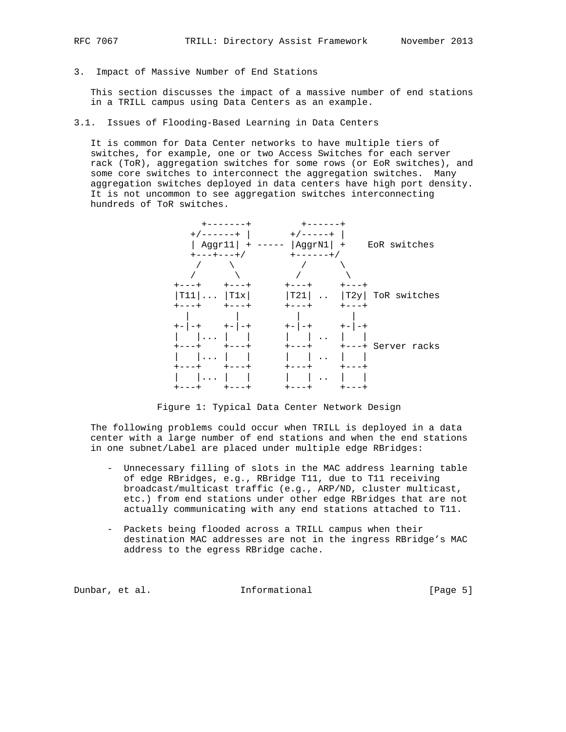- 
- 3. Impact of Massive Number of End Stations

 This section discusses the impact of a massive number of end stations in a TRILL campus using Data Centers as an example.

3.1. Issues of Flooding-Based Learning in Data Centers

 It is common for Data Center networks to have multiple tiers of switches, for example, one or two Access Switches for each server rack (ToR), aggregation switches for some rows (or EoR switches), and some core switches to interconnect the aggregation switches. Many aggregation switches deployed in data centers have high port density. It is not uncommon to see aggregation switches interconnecting hundreds of ToR switches.



Figure 1: Typical Data Center Network Design

 The following problems could occur when TRILL is deployed in a data center with a large number of end stations and when the end stations in one subnet/Label are placed under multiple edge RBridges:

- Unnecessary filling of slots in the MAC address learning table of edge RBridges, e.g., RBridge T11, due to T11 receiving broadcast/multicast traffic (e.g., ARP/ND, cluster multicast, etc.) from end stations under other edge RBridges that are not actually communicating with any end stations attached to T11.
- Packets being flooded across a TRILL campus when their destination MAC addresses are not in the ingress RBridge's MAC address to the egress RBridge cache.

Dunbar, et al. 10 1nformational 111 [Page 5]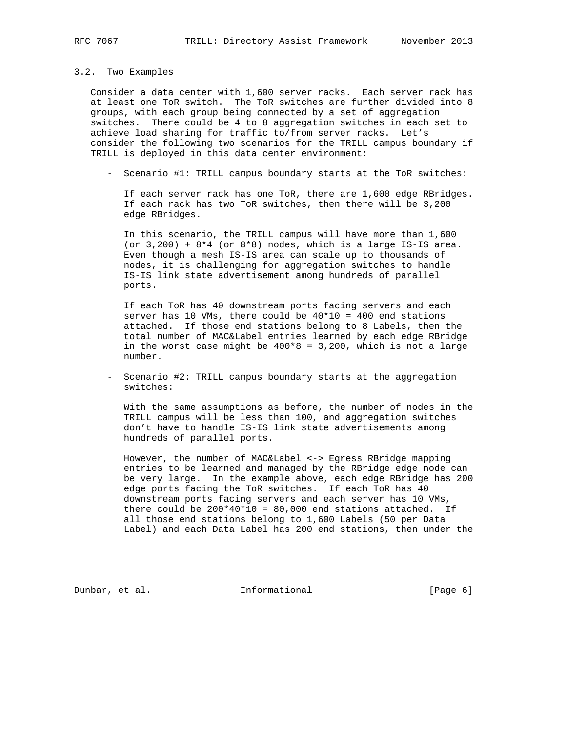#### 3.2. Two Examples

 Consider a data center with 1,600 server racks. Each server rack has at least one ToR switch. The ToR switches are further divided into 8 groups, with each group being connected by a set of aggregation switches. There could be 4 to 8 aggregation switches in each set to achieve load sharing for traffic to/from server racks. Let's consider the following two scenarios for the TRILL campus boundary if TRILL is deployed in this data center environment:

- Scenario #1: TRILL campus boundary starts at the ToR switches:

 If each server rack has one ToR, there are 1,600 edge RBridges. If each rack has two ToR switches, then there will be 3,200 edge RBridges.

 In this scenario, the TRILL campus will have more than 1,600 (or  $3,200$ ) +  $8*4$  (or  $8*8$ ) nodes, which is a large IS-IS area. Even though a mesh IS-IS area can scale up to thousands of nodes, it is challenging for aggregation switches to handle IS-IS link state advertisement among hundreds of parallel ports.

 If each ToR has 40 downstream ports facing servers and each server has 10 VMs, there could be 40\*10 = 400 end stations attached. If those end stations belong to 8 Labels, then the total number of MAC&Label entries learned by each edge RBridge in the worst case might be  $400*8 = 3,200$ , which is not a large number.

 - Scenario #2: TRILL campus boundary starts at the aggregation switches:

 With the same assumptions as before, the number of nodes in the TRILL campus will be less than 100, and aggregation switches don't have to handle IS-IS link state advertisements among hundreds of parallel ports.

 However, the number of MAC&Label <-> Egress RBridge mapping entries to be learned and managed by the RBridge edge node can be very large. In the example above, each edge RBridge has 200 edge ports facing the ToR switches. If each ToR has 40 downstream ports facing servers and each server has 10 VMs, there could be  $200*40*10 = 80,000$  end stations attached. If all those end stations belong to 1,600 Labels (50 per Data Label) and each Data Label has 200 end stations, then under the

Dunbar, et al. 1nformational [Page 6]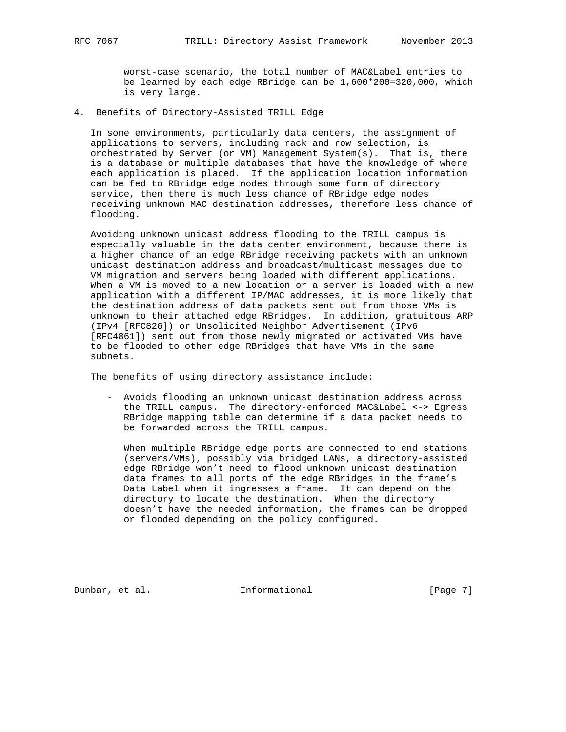worst-case scenario, the total number of MAC&Label entries to be learned by each edge RBridge can be 1,600\*200=320,000, which is very large.

4. Benefits of Directory-Assisted TRILL Edge

 In some environments, particularly data centers, the assignment of applications to servers, including rack and row selection, is orchestrated by Server (or VM) Management System(s). That is, there is a database or multiple databases that have the knowledge of where each application is placed. If the application location information can be fed to RBridge edge nodes through some form of directory service, then there is much less chance of RBridge edge nodes receiving unknown MAC destination addresses, therefore less chance of flooding.

 Avoiding unknown unicast address flooding to the TRILL campus is especially valuable in the data center environment, because there is a higher chance of an edge RBridge receiving packets with an unknown unicast destination address and broadcast/multicast messages due to VM migration and servers being loaded with different applications. When a VM is moved to a new location or a server is loaded with a new application with a different IP/MAC addresses, it is more likely that the destination address of data packets sent out from those VMs is unknown to their attached edge RBridges. In addition, gratuitous ARP (IPv4 [RFC826]) or Unsolicited Neighbor Advertisement (IPv6 [RFC4861]) sent out from those newly migrated or activated VMs have to be flooded to other edge RBridges that have VMs in the same subnets.

The benefits of using directory assistance include:

 - Avoids flooding an unknown unicast destination address across the TRILL campus. The directory-enforced MAC&Label <-> Egress RBridge mapping table can determine if a data packet needs to be forwarded across the TRILL campus.

 When multiple RBridge edge ports are connected to end stations (servers/VMs), possibly via bridged LANs, a directory-assisted edge RBridge won't need to flood unknown unicast destination data frames to all ports of the edge RBridges in the frame's Data Label when it ingresses a frame. It can depend on the directory to locate the destination. When the directory doesn't have the needed information, the frames can be dropped or flooded depending on the policy configured.

Dunbar, et al. 1nformational [Page 7]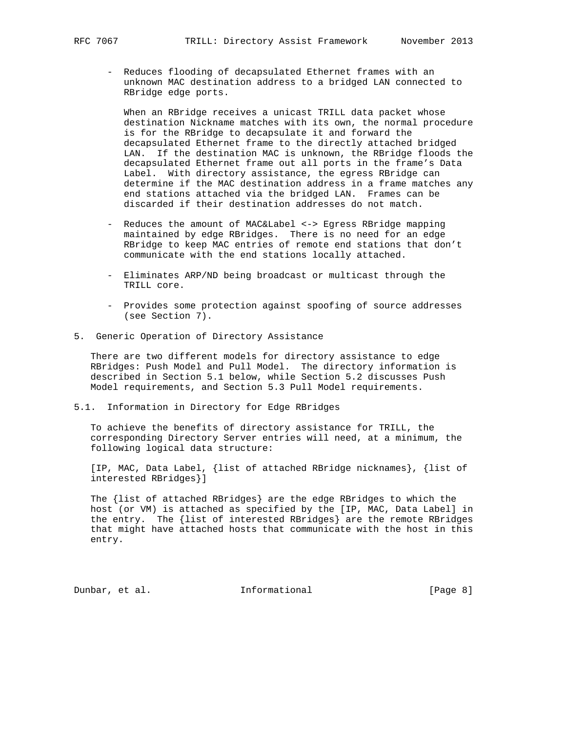- Reduces flooding of decapsulated Ethernet frames with an unknown MAC destination address to a bridged LAN connected to RBridge edge ports.

 When an RBridge receives a unicast TRILL data packet whose destination Nickname matches with its own, the normal procedure is for the RBridge to decapsulate it and forward the decapsulated Ethernet frame to the directly attached bridged LAN. If the destination MAC is unknown, the RBridge floods the decapsulated Ethernet frame out all ports in the frame's Data Label. With directory assistance, the egress RBridge can determine if the MAC destination address in a frame matches any end stations attached via the bridged LAN. Frames can be discarded if their destination addresses do not match.

- Reduces the amount of MAC&Label <-> Egress RBridge mapping maintained by edge RBridges. There is no need for an edge RBridge to keep MAC entries of remote end stations that don't communicate with the end stations locally attached.
- Eliminates ARP/ND being broadcast or multicast through the TRILL core.
- Provides some protection against spoofing of source addresses (see Section 7).
- 5. Generic Operation of Directory Assistance

 There are two different models for directory assistance to edge RBridges: Push Model and Pull Model. The directory information is described in Section 5.1 below, while Section 5.2 discusses Push Model requirements, and Section 5.3 Pull Model requirements.

5.1. Information in Directory for Edge RBridges

 To achieve the benefits of directory assistance for TRILL, the corresponding Directory Server entries will need, at a minimum, the following logical data structure:

 [IP, MAC, Data Label, {list of attached RBridge nicknames}, {list of interested RBridges}]

 The {list of attached RBridges} are the edge RBridges to which the host (or VM) is attached as specified by the [IP, MAC, Data Label] in the entry. The {list of interested RBridges} are the remote RBridges that might have attached hosts that communicate with the host in this entry.

Dunbar, et al. 1nformational [Page 8]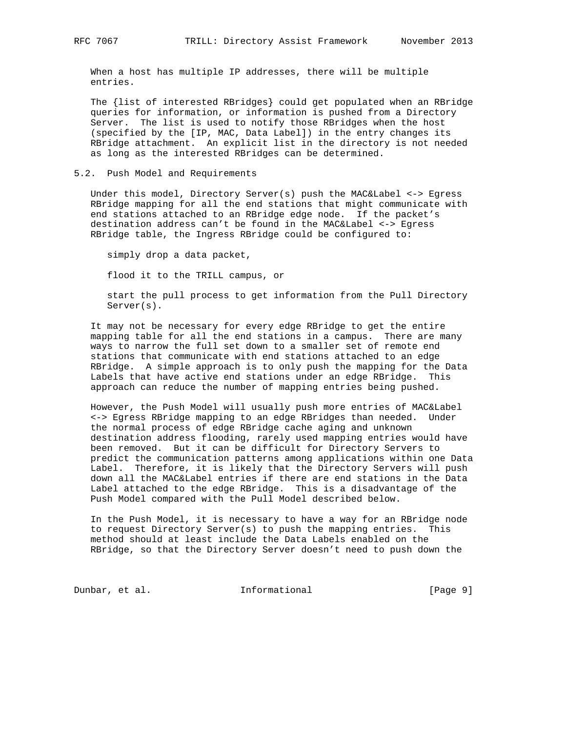When a host has multiple IP addresses, there will be multiple entries.

 The {list of interested RBridges} could get populated when an RBridge queries for information, or information is pushed from a Directory Server. The list is used to notify those RBridges when the host (specified by the [IP, MAC, Data Label]) in the entry changes its RBridge attachment. An explicit list in the directory is not needed as long as the interested RBridges can be determined.

### 5.2. Push Model and Requirements

 Under this model, Directory Server(s) push the MAC&Label <-> Egress RBridge mapping for all the end stations that might communicate with end stations attached to an RBridge edge node. If the packet's destination address can't be found in the MAC&Label <-> Egress RBridge table, the Ingress RBridge could be configured to:

simply drop a data packet,

flood it to the TRILL campus, or

 start the pull process to get information from the Pull Directory Server(s).

 It may not be necessary for every edge RBridge to get the entire mapping table for all the end stations in a campus. There are many ways to narrow the full set down to a smaller set of remote end stations that communicate with end stations attached to an edge RBridge. A simple approach is to only push the mapping for the Data Labels that have active end stations under an edge RBridge. This approach can reduce the number of mapping entries being pushed.

 However, the Push Model will usually push more entries of MAC&Label <-> Egress RBridge mapping to an edge RBridges than needed. Under the normal process of edge RBridge cache aging and unknown destination address flooding, rarely used mapping entries would have been removed. But it can be difficult for Directory Servers to predict the communication patterns among applications within one Data Label. Therefore, it is likely that the Directory Servers will push down all the MAC&Label entries if there are end stations in the Data Label attached to the edge RBridge. This is a disadvantage of the Push Model compared with the Pull Model described below.

 In the Push Model, it is necessary to have a way for an RBridge node to request Directory Server(s) to push the mapping entries. This method should at least include the Data Labels enabled on the RBridge, so that the Directory Server doesn't need to push down the

Dunbar, et al. 1nformational [Page 9]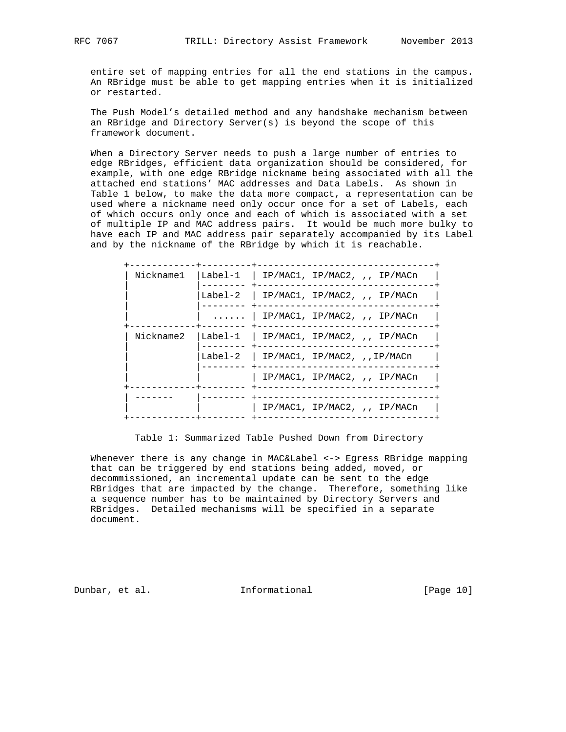entire set of mapping entries for all the end stations in the campus. An RBridge must be able to get mapping entries when it is initialized or restarted.

 The Push Model's detailed method and any handshake mechanism between an RBridge and Directory Server(s) is beyond the scope of this framework document.

 When a Directory Server needs to push a large number of entries to edge RBridges, efficient data organization should be considered, for example, with one edge RBridge nickname being associated with all the attached end stations' MAC addresses and Data Labels. As shown in Table 1 below, to make the data more compact, a representation can be used where a nickname need only occur once for a set of Labels, each of which occurs only once and each of which is associated with a set of multiple IP and MAC address pairs. It would be much more bulky to have each IP and MAC address pair separately accompanied by its Label and by the nickname of the RBridge by which it is reachable.

| Nickname1 | $\lceil \text{Label-1} \rceil$ IP/MAC1, IP/MAC2, ,, IP/MACn |
|-----------|-------------------------------------------------------------|
|           | Label-2   IP/MAC1, IP/MAC2, $\mu$ , IP/MACn                 |
|           | $\ldots$   IP/MAC1, IP/MAC2, ,, IP/MACn                     |
| Nickname2 | Label-1   IP/MAC1, IP/MAC2, ,, IP/MACn                      |
|           | Label-2   IP/MAC1, IP/MAC2, $I.P/MAC1$                      |
|           | IP/MAC1, IP/MAC2, ,, IP/MACn                                |
|           | $IP/MAC1$ , $IP/MAC2$ , ,, $IP/MACn$                        |

Table 1: Summarized Table Pushed Down from Directory

 Whenever there is any change in MAC&Label <-> Egress RBridge mapping that can be triggered by end stations being added, moved, or decommissioned, an incremental update can be sent to the edge RBridges that are impacted by the change. Therefore, something like a sequence number has to be maintained by Directory Servers and RBridges. Detailed mechanisms will be specified in a separate document.

Dunbar, et al. 10 Informational [Page 10]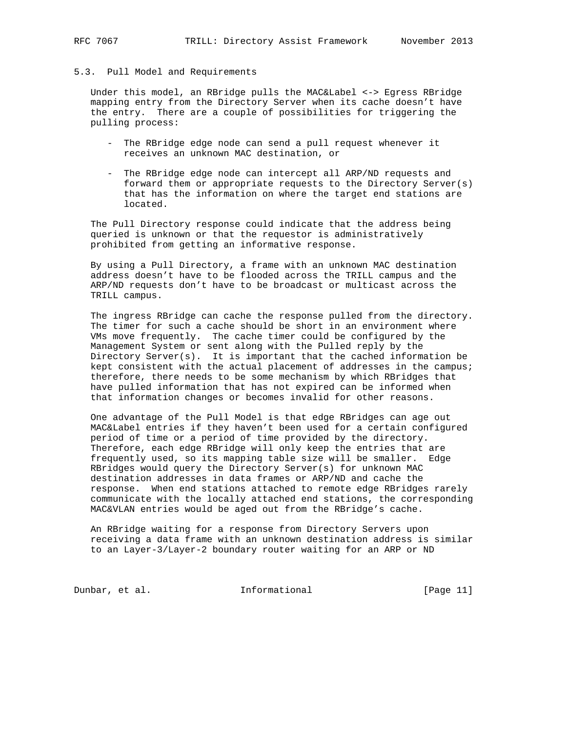# 5.3. Pull Model and Requirements

 Under this model, an RBridge pulls the MAC&Label <-> Egress RBridge mapping entry from the Directory Server when its cache doesn't have the entry. There are a couple of possibilities for triggering the pulling process:

- The RBridge edge node can send a pull request whenever it receives an unknown MAC destination, or
- The RBridge edge node can intercept all ARP/ND requests and forward them or appropriate requests to the Directory Server(s) that has the information on where the target end stations are located.

 The Pull Directory response could indicate that the address being queried is unknown or that the requestor is administratively prohibited from getting an informative response.

 By using a Pull Directory, a frame with an unknown MAC destination address doesn't have to be flooded across the TRILL campus and the ARP/ND requests don't have to be broadcast or multicast across the TRILL campus.

 The ingress RBridge can cache the response pulled from the directory. The timer for such a cache should be short in an environment where VMs move frequently. The cache timer could be configured by the Management System or sent along with the Pulled reply by the Directory Server(s). It is important that the cached information be kept consistent with the actual placement of addresses in the campus; therefore, there needs to be some mechanism by which RBridges that have pulled information that has not expired can be informed when that information changes or becomes invalid for other reasons.

 One advantage of the Pull Model is that edge RBridges can age out MAC&Label entries if they haven't been used for a certain configured period of time or a period of time provided by the directory. Therefore, each edge RBridge will only keep the entries that are frequently used, so its mapping table size will be smaller. Edge RBridges would query the Directory Server(s) for unknown MAC destination addresses in data frames or ARP/ND and cache the response. When end stations attached to remote edge RBridges rarely communicate with the locally attached end stations, the corresponding MAC&VLAN entries would be aged out from the RBridge's cache.

 An RBridge waiting for a response from Directory Servers upon receiving a data frame with an unknown destination address is similar to an Layer-3/Layer-2 boundary router waiting for an ARP or ND

Dunbar, et al. 10 Informational [Page 11]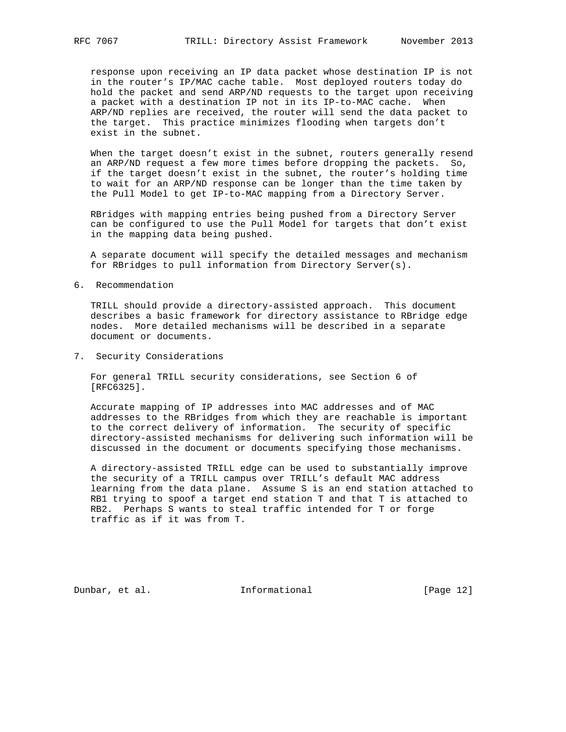response upon receiving an IP data packet whose destination IP is not in the router's IP/MAC cache table. Most deployed routers today do hold the packet and send ARP/ND requests to the target upon receiving a packet with a destination IP not in its IP-to-MAC cache. When ARP/ND replies are received, the router will send the data packet to the target. This practice minimizes flooding when targets don't exist in the subnet.

 When the target doesn't exist in the subnet, routers generally resend an ARP/ND request a few more times before dropping the packets. So, if the target doesn't exist in the subnet, the router's holding time to wait for an ARP/ND response can be longer than the time taken by the Pull Model to get IP-to-MAC mapping from a Directory Server.

 RBridges with mapping entries being pushed from a Directory Server can be configured to use the Pull Model for targets that don't exist in the mapping data being pushed.

 A separate document will specify the detailed messages and mechanism for RBridges to pull information from Directory Server(s).

6. Recommendation

 TRILL should provide a directory-assisted approach. This document describes a basic framework for directory assistance to RBridge edge nodes. More detailed mechanisms will be described in a separate document or documents.

7. Security Considerations

 For general TRILL security considerations, see Section 6 of [RFC6325].

 Accurate mapping of IP addresses into MAC addresses and of MAC addresses to the RBridges from which they are reachable is important to the correct delivery of information. The security of specific directory-assisted mechanisms for delivering such information will be discussed in the document or documents specifying those mechanisms.

 A directory-assisted TRILL edge can be used to substantially improve the security of a TRILL campus over TRILL's default MAC address learning from the data plane. Assume S is an end station attached to RB1 trying to spoof a target end station T and that T is attached to RB2. Perhaps S wants to steal traffic intended for T or forge traffic as if it was from T.

Dunbar, et al. 100 Informational [Page 12]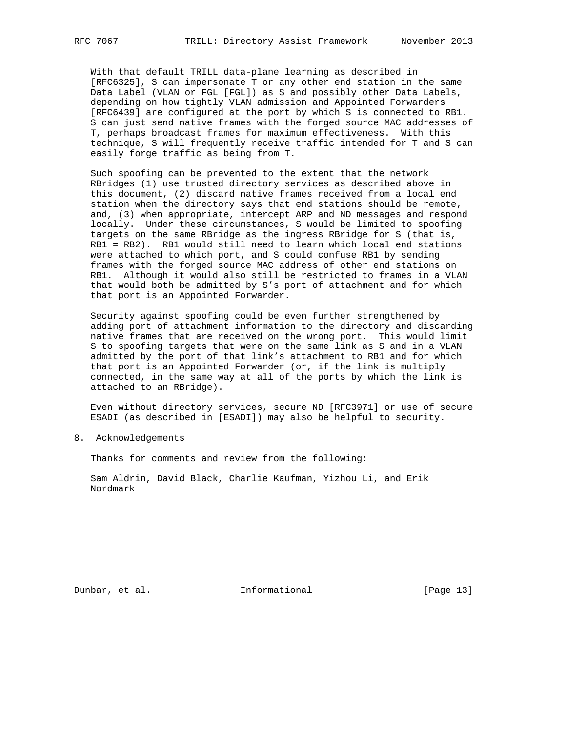With that default TRILL data-plane learning as described in [RFC6325], S can impersonate T or any other end station in the same Data Label (VLAN or FGL [FGL]) as S and possibly other Data Labels, depending on how tightly VLAN admission and Appointed Forwarders [RFC6439] are configured at the port by which S is connected to RB1. S can just send native frames with the forged source MAC addresses of T, perhaps broadcast frames for maximum effectiveness. With this technique, S will frequently receive traffic intended for T and S can easily forge traffic as being from T.

 Such spoofing can be prevented to the extent that the network RBridges (1) use trusted directory services as described above in this document, (2) discard native frames received from a local end station when the directory says that end stations should be remote, and, (3) when appropriate, intercept ARP and ND messages and respond locally. Under these circumstances, S would be limited to spoofing targets on the same RBridge as the ingress RBridge for S (that is, RB1 = RB2). RB1 would still need to learn which local end stations were attached to which port, and S could confuse RB1 by sending frames with the forged source MAC address of other end stations on RB1. Although it would also still be restricted to frames in a VLAN that would both be admitted by S's port of attachment and for which that port is an Appointed Forwarder.

 Security against spoofing could be even further strengthened by adding port of attachment information to the directory and discarding native frames that are received on the wrong port. This would limit S to spoofing targets that were on the same link as S and in a VLAN admitted by the port of that link's attachment to RB1 and for which that port is an Appointed Forwarder (or, if the link is multiply connected, in the same way at all of the ports by which the link is attached to an RBridge).

 Even without directory services, secure ND [RFC3971] or use of secure ESADI (as described in [ESADI]) may also be helpful to security.

8. Acknowledgements

Thanks for comments and review from the following:

 Sam Aldrin, David Black, Charlie Kaufman, Yizhou Li, and Erik Nordmark

Dunbar, et al. 100 Informational [Page 13]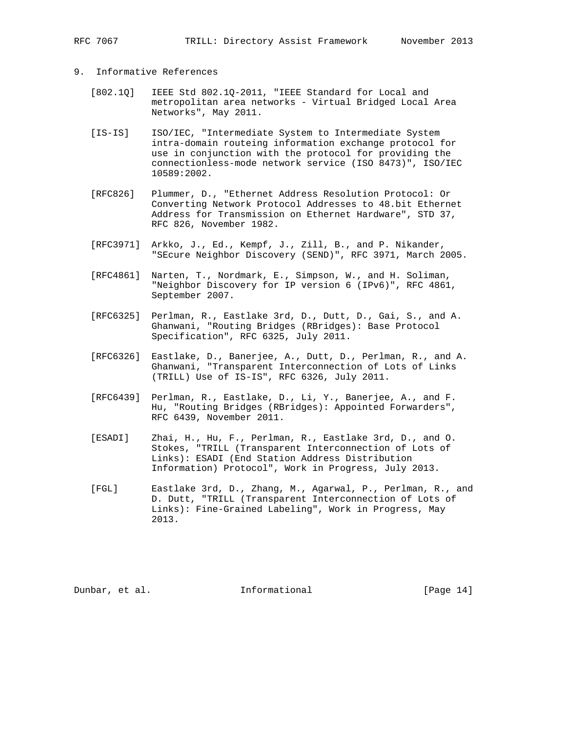## 9. Informative References

- [802.1Q] IEEE Std 802.1Q-2011, "IEEE Standard for Local and metropolitan area networks - Virtual Bridged Local Area Networks", May 2011.
- [IS-IS] ISO/IEC, "Intermediate System to Intermediate System intra-domain routeing information exchange protocol for use in conjunction with the protocol for providing the connectionless-mode network service (ISO 8473)", ISO/IEC 10589:2002.
- [RFC826] Plummer, D., "Ethernet Address Resolution Protocol: Or Converting Network Protocol Addresses to 48.bit Ethernet Address for Transmission on Ethernet Hardware", STD 37, RFC 826, November 1982.
- [RFC3971] Arkko, J., Ed., Kempf, J., Zill, B., and P. Nikander, "SEcure Neighbor Discovery (SEND)", RFC 3971, March 2005.
- [RFC4861] Narten, T., Nordmark, E., Simpson, W., and H. Soliman, "Neighbor Discovery for IP version 6 (IPv6)", RFC 4861, September 2007.
- [RFC6325] Perlman, R., Eastlake 3rd, D., Dutt, D., Gai, S., and A. Ghanwani, "Routing Bridges (RBridges): Base Protocol Specification", RFC 6325, July 2011.
- [RFC6326] Eastlake, D., Banerjee, A., Dutt, D., Perlman, R., and A. Ghanwani, "Transparent Interconnection of Lots of Links (TRILL) Use of IS-IS", RFC 6326, July 2011.
- [RFC6439] Perlman, R., Eastlake, D., Li, Y., Banerjee, A., and F. Hu, "Routing Bridges (RBridges): Appointed Forwarders", RFC 6439, November 2011.
- [ESADI] Zhai, H., Hu, F., Perlman, R., Eastlake 3rd, D., and O. Stokes, "TRILL (Transparent Interconnection of Lots of Links): ESADI (End Station Address Distribution Information) Protocol", Work in Progress, July 2013.
- [FGL] Eastlake 3rd, D., Zhang, M., Agarwal, P., Perlman, R., and D. Dutt, "TRILL (Transparent Interconnection of Lots of Links): Fine-Grained Labeling", Work in Progress, May 2013.

Dunbar, et al. 100 Informational [Page 14]